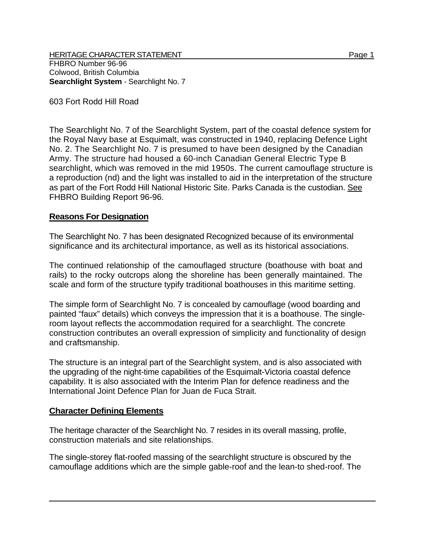HERITAGE CHARACTER STATEMENT PAGE 1 AND 2006 1 FHBRO Number 96-96 Colwood, British Columbia **Searchlight System** - Searchlight No. 7

603 Fort Rodd Hill Road

The Searchlight No. 7 of the Searchlight System, part of the coastal defence system for the Royal Navy base at Esquimalt, was constructed in 1940, replacing Defence Light No. 2. The Searchlight No. 7 is presumed to have been designed by the Canadian Army. The structure had housed a 60-inch Canadian General Electric Type B searchlight, which was removed in the mid 1950s. The current camouflage structure is a reproduction (nd) and the light was installed to aid in the interpretation of the structure as part of the Fort Rodd Hill National Historic Site. Parks Canada is the custodian. See FHBRO Building Report 96-96.

## **Reasons For Designation**

The Searchlight No. 7 has been designated Recognized because of its environmental significance and its architectural importance, as well as its historical associations.

The continued relationship of the camouflaged structure (boathouse with boat and rails) to the rocky outcrops along the shoreline has been generally maintained. The scale and form of the structure typify traditional boathouses in this maritime setting.

The simple form of Searchlight No. 7 is concealed by camouflage (wood boarding and painted "faux" details) which conveys the impression that it is a boathouse. The singleroom layout reflects the accommodation required for a searchlight. The concrete construction contributes an overall expression of simplicity and functionality of design and craftsmanship.

The structure is an integral part of the Searchlight system, and is also associated with the upgrading of the night-time capabilities of the Esquimalt-Victoria coastal defence capability. It is also associated with the Interim Plan for defence readiness and the International Joint Defence Plan for Juan de Fuca Strait.

## **Character Defining Elements**

The heritage character of the Searchlight No. 7 resides in its overall massing, profile, construction materials and site relationships.

The single-storey flat-roofed massing of the searchlight structure is obscured by the camouflage additions which are the simple gable-roof and the lean-to shed-roof. The